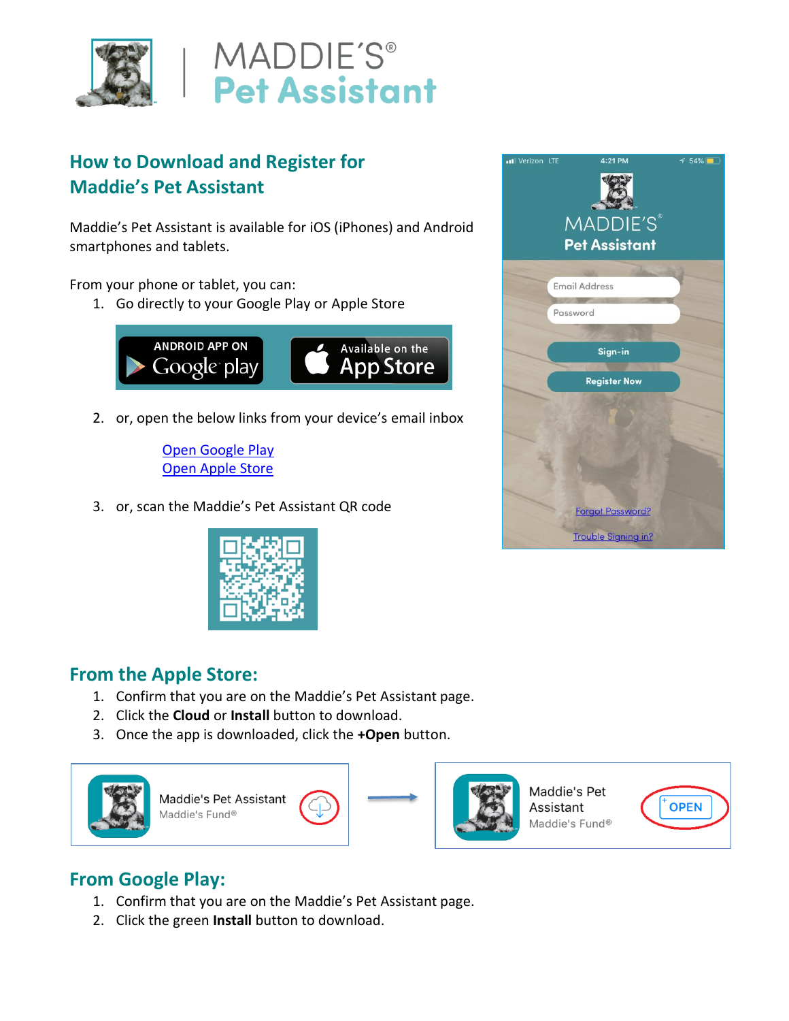



# **How to Download and Register for Maddie's Pet Assistant**

Maddie's Pet Assistant is available for iOS (iPhones) and Android smartphones and tablets.

From your phone or tablet, you can:

1. Go directly to your Google Play or Apple Store



2. or, open the below links from your device's email inbox

[Open Google Play](https://play.google.com/store/apps/details?id=com.maddiesfund.petassistant&hl=en_US) [Open Apple Store](https://apps.apple.com/us/app/maddies-pet-assistant/id968274332)

3. or, scan the Maddie's Pet Assistant QR code



### **From the Apple Store:**

- 1. Confirm that you are on the Maddie's Pet Assistant page.
- 2. Click the **Cloud** or **Install** button to download.
- 3. Once the app is downloaded, click the **+Open** button.



### **From Google Play:**

- 1. Confirm that you are on the Maddie's Pet Assistant page.
- 2. Click the green **Install** button to download.

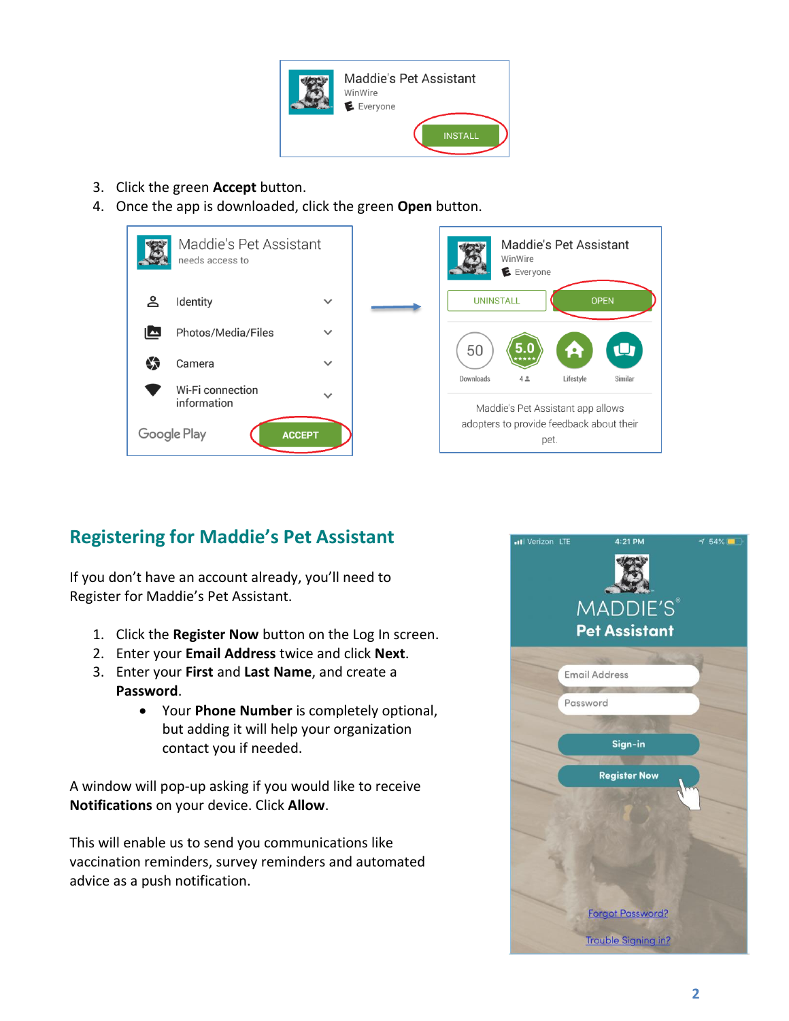

- 3. Click the green **Accept** button.
- 4. Once the app is downloaded, click the green **Open** button.





## **Registering for Maddie's Pet Assistant**

If you don't have an account already, you'll need to Register for Maddie's Pet Assistant.

- 1. Click the **Register Now** button on the Log In screen.
- 2. Enter your **Email Address** twice and click **Next**.
- 3. Enter your **First** and **Last Name**, and create a **Password**.
	- Your **Phone Number** is completely optional, but adding it will help your organization contact you if needed.

A window will pop-up asking if you would like to receive **Notifications** on your device. Click **Allow**.

This will enable us to send you communications like vaccination reminders, survey reminders and automated advice as a push notification.

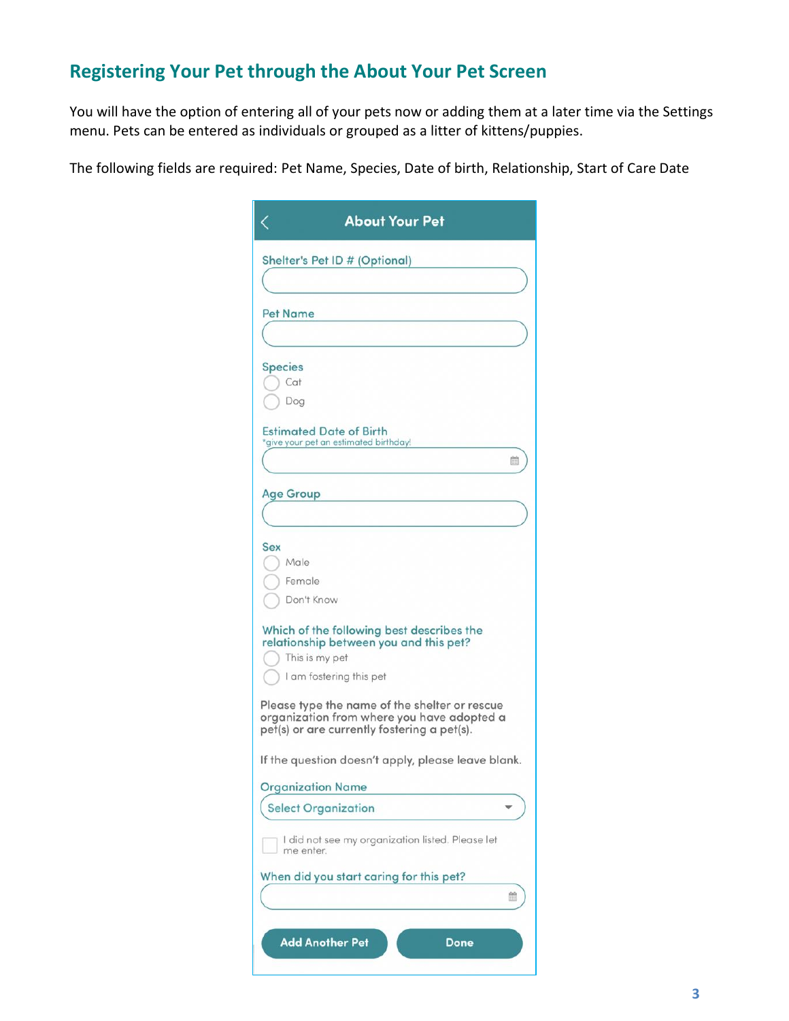### **Registering Your Pet through the About Your Pet Screen**

You will have the option of entering all of your pets now or adding them at a later time via the Settings menu. Pets can be entered as individuals or grouped as a litter of kittens/puppies.

The following fields are required: Pet Name, Species, Date of birth, Relationship, Start of Care Date

|                  | Shelter's Pet ID # (Optional)                                                                                                              |
|------------------|--------------------------------------------------------------------------------------------------------------------------------------------|
| <b>Pet Name</b>  |                                                                                                                                            |
|                  |                                                                                                                                            |
| <b>Species</b>   |                                                                                                                                            |
| Cat              |                                                                                                                                            |
| Dog              |                                                                                                                                            |
|                  | <b>Estimated Date of Birth</b><br>'give your pet an estimated birthday!                                                                    |
|                  | 簡                                                                                                                                          |
|                  |                                                                                                                                            |
| <b>Age Group</b> |                                                                                                                                            |
|                  |                                                                                                                                            |
| Sex              |                                                                                                                                            |
| Male             |                                                                                                                                            |
|                  | Female                                                                                                                                     |
|                  | Don't Know                                                                                                                                 |
|                  | Which of the following best describes the<br>relationship between you and this pet?                                                        |
|                  | This is my pet                                                                                                                             |
|                  | I am fostering this pet                                                                                                                    |
|                  | Please type the name of the shelter or rescue<br>organization from where you have adopted a<br>pet(s) or are currently fostering a pet(s). |
|                  | If the question doesn't apply, please leave blank.                                                                                         |
|                  | <b>Organization Name</b>                                                                                                                   |
|                  | <b>Select Organization</b>                                                                                                                 |
|                  | I did not see my organization listed. Please let<br>me enter.                                                                              |
|                  | When did you start caring for this pet?                                                                                                    |
|                  | 曲                                                                                                                                          |
|                  |                                                                                                                                            |